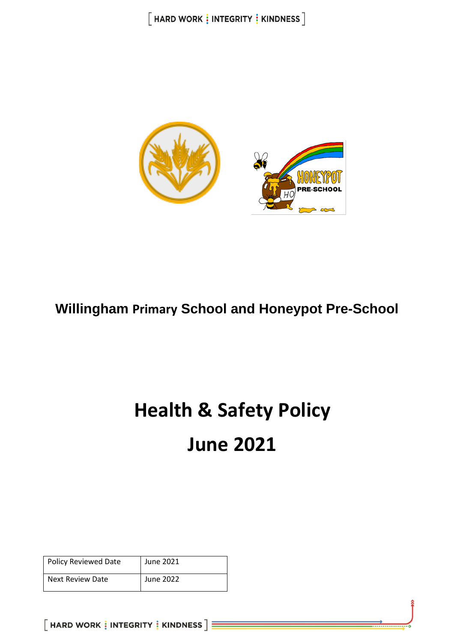

## **Willingham Primary School and Honeypot Pre-School**

# **Health & Safety Policy June 2021**

| Policy Reviewed Date | June 2021 |
|----------------------|-----------|
| Next Review Date     | June 2022 |

 $[$  HARD WORK  $\frac{1}{3}$  INTEGRITY  $\frac{1}{3}$  KINDNESS  $]\equiv$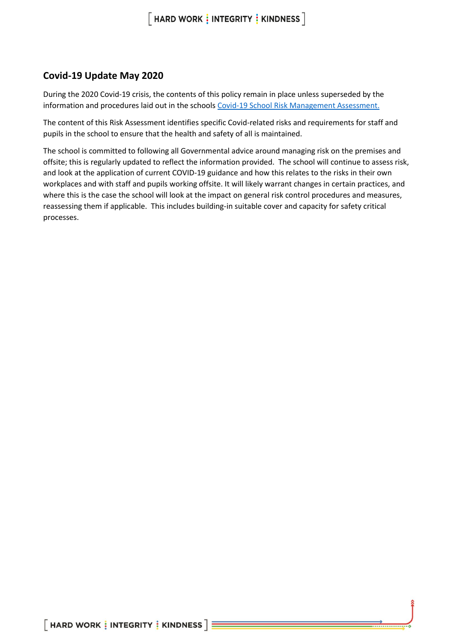### **Covid-19 Update May 2020**

During the 2020 Covid-19 crisis, the contents of this policy remain in place unless superseded by the information and procedures laid out in the schools [Covid-19 School Risk Management Assessment.](https://willinghampri.sharepoint.com/:w:/r/sites/smt/_layouts/15/Doc.aspx?sourcedoc=%7B70fba091-f205-4b56-b36e-de8fc23fe9fc%7D&action=view)

The content of this Risk Assessment identifies specific Covid-related risks and requirements for staff and pupils in the school to ensure that the health and safety of all is maintained.

The school is committed to following all Governmental advice around managing risk on the premises and offsite; this is regularly updated to reflect the information provided. The school will continue to assess risk, and look at the application of current COVID-19 guidance and how this relates to the risks in their own workplaces and with staff and pupils working offsite. It will likely warrant changes in certain practices, and where this is the case the school will look at the impact on general risk control procedures and measures, reassessing them if applicable. This includes building-in suitable cover and capacity for safety critical processes.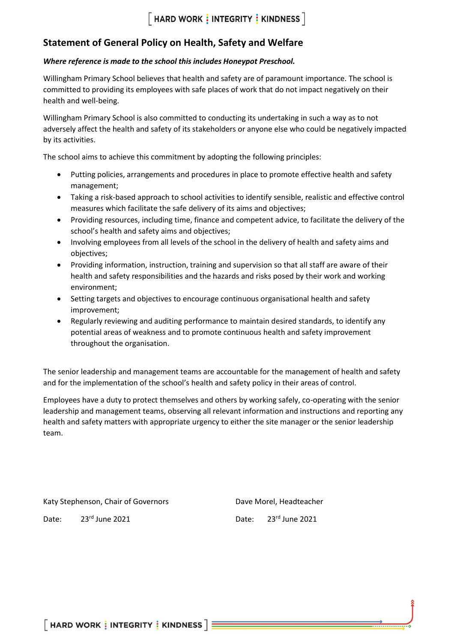### **Statement of General Policy on Health, Safety and Welfare**

### *Where reference is made to the school this includes Honeypot Preschool.*

Willingham Primary School believes that health and safety are of paramount importance. The school is committed to providing its employees with safe places of work that do not impact negatively on their health and well-being.

Willingham Primary School is also committed to conducting its undertaking in such a way as to not adversely affect the health and safety of its stakeholders or anyone else who could be negatively impacted by its activities.

The school aims to achieve this commitment by adopting the following principles:

- Putting policies, arrangements and procedures in place to promote effective health and safety management;
- Taking a risk-based approach to school activities to identify sensible, realistic and effective control measures which facilitate the safe delivery of its aims and objectives;
- Providing resources, including time, finance and competent advice, to facilitate the delivery of the school's health and safety aims and objectives;
- Involving employees from all levels of the school in the delivery of health and safety aims and objectives;
- Providing information, instruction, training and supervision so that all staff are aware of their health and safety responsibilities and the hazards and risks posed by their work and working environment;
- Setting targets and objectives to encourage continuous organisational health and safety improvement;
- Regularly reviewing and auditing performance to maintain desired standards, to identify any potential areas of weakness and to promote continuous health and safety improvement throughout the organisation.

The senior leadership and management teams are accountable for the management of health and safety and for the implementation of the school's health and safety policy in their areas of control.

Employees have a duty to protect themselves and others by working safely, co-operating with the senior leadership and management teams, observing all relevant information and instructions and reporting any health and safety matters with appropriate urgency to either the site manager or the senior leadership team.

Katy Stephenson, Chair of Governors **Dave Morel**, Headteacher

Date: 23<sup>rd</sup> June 2021 **Date:** 23<sup>rd</sup> June 2021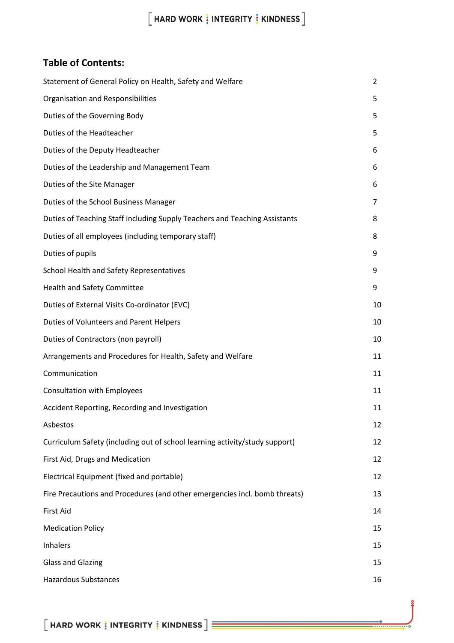### **Table of Contents:**

| Statement of General Policy on Health, Safety and Welfare                   | 2  |
|-----------------------------------------------------------------------------|----|
| <b>Organisation and Responsibilities</b>                                    | 5  |
| Duties of the Governing Body                                                | 5  |
| Duties of the Headteacher                                                   | 5  |
| Duties of the Deputy Headteacher                                            | 6  |
| Duties of the Leadership and Management Team                                | 6  |
| Duties of the Site Manager                                                  | 6  |
| Duties of the School Business Manager                                       | 7  |
| Duties of Teaching Staff including Supply Teachers and Teaching Assistants  | 8  |
| Duties of all employees (including temporary staff)                         | 8  |
| Duties of pupils                                                            | 9  |
| School Health and Safety Representatives                                    | 9  |
| <b>Health and Safety Committee</b>                                          | 9  |
| Duties of External Visits Co-ordinator (EVC)                                | 10 |
| Duties of Volunteers and Parent Helpers                                     | 10 |
| Duties of Contractors (non payroll)                                         | 10 |
| Arrangements and Procedures for Health, Safety and Welfare                  | 11 |
| Communication                                                               | 11 |
| <b>Consultation with Employees</b>                                          | 11 |
| Accident Reporting, Recording and Investigation                             | 11 |
| Asbestos                                                                    | 12 |
| Curriculum Safety (including out of school learning activity/study support) | 12 |
| First Aid, Drugs and Medication                                             | 12 |
| Electrical Equipment (fixed and portable)                                   | 12 |
| Fire Precautions and Procedures (and other emergencies incl. bomb threats)  | 13 |
| First Aid                                                                   | 14 |
| <b>Medication Policy</b>                                                    | 15 |
| Inhalers                                                                    | 15 |
| <b>Glass and Glazing</b>                                                    | 15 |
| <b>Hazardous Substances</b>                                                 | 16 |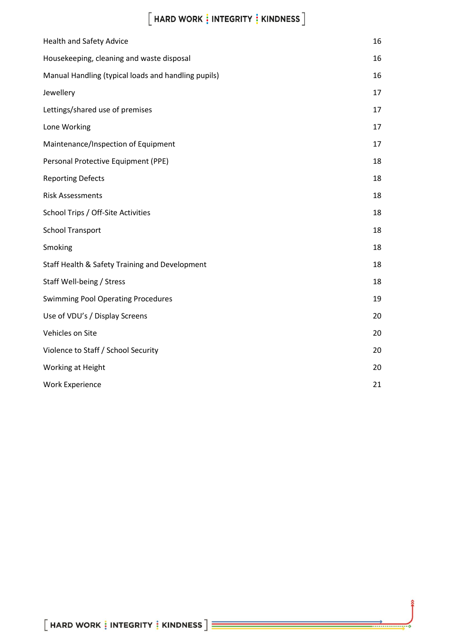| <b>Health and Safety Advice</b>                     | 16 |
|-----------------------------------------------------|----|
| Housekeeping, cleaning and waste disposal           | 16 |
| Manual Handling (typical loads and handling pupils) | 16 |
| Jewellery                                           | 17 |
| Lettings/shared use of premises                     | 17 |
| Lone Working                                        | 17 |
| Maintenance/Inspection of Equipment                 | 17 |
| Personal Protective Equipment (PPE)                 | 18 |
| <b>Reporting Defects</b>                            | 18 |
| <b>Risk Assessments</b>                             | 18 |
| School Trips / Off-Site Activities                  | 18 |
| <b>School Transport</b>                             | 18 |
| Smoking                                             | 18 |
| Staff Health & Safety Training and Development      | 18 |
| Staff Well-being / Stress                           | 18 |
| <b>Swimming Pool Operating Procedures</b>           | 19 |
| Use of VDU's / Display Screens                      | 20 |
| Vehicles on Site                                    | 20 |
| Violence to Staff / School Security                 | 20 |
| Working at Height                                   | 20 |
| <b>Work Experience</b>                              | 21 |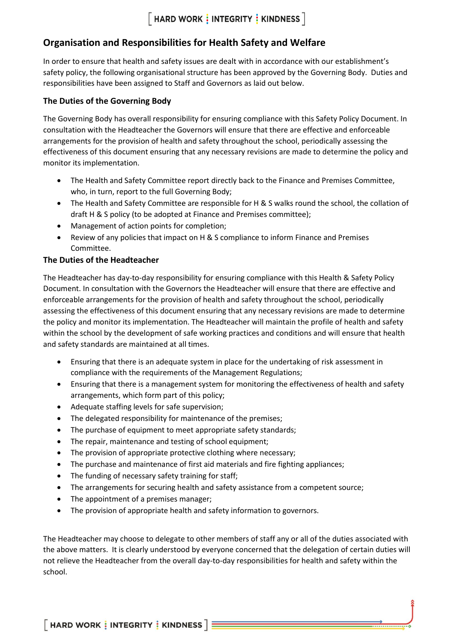### **Organisation and Responsibilities for Health Safety and Welfare**

In order to ensure that health and safety issues are dealt with in accordance with our establishment's safety policy, the following organisational structure has been approved by the Governing Body. Duties and responsibilities have been assigned to Staff and Governors as laid out below.

### **The Duties of the Governing Body**

The Governing Body has overall responsibility for ensuring compliance with this Safety Policy Document. In consultation with the Headteacher the Governors will ensure that there are effective and enforceable arrangements for the provision of health and safety throughout the school, periodically assessing the effectiveness of this document ensuring that any necessary revisions are made to determine the policy and monitor its implementation.

- The Health and Safety Committee report directly back to the Finance and Premises Committee, who, in turn, report to the full Governing Body;
- The Health and Safety Committee are responsible for H & S walks round the school, the collation of draft H & S policy (to be adopted at Finance and Premises committee);
- Management of action points for completion;
- Review of any policies that impact on H & S compliance to inform Finance and Premises Committee.

### **The Duties of the Headteacher**

The Headteacher has day-to-day responsibility for ensuring compliance with this Health & Safety Policy Document. In consultation with the Governors the Headteacher will ensure that there are effective and enforceable arrangements for the provision of health and safety throughout the school, periodically assessing the effectiveness of this document ensuring that any necessary revisions are made to determine the policy and monitor its implementation. The Headteacher will maintain the profile of health and safety within the school by the development of safe working practices and conditions and will ensure that health and safety standards are maintained at all times.

- Ensuring that there is an adequate system in place for the undertaking of risk assessment in compliance with the requirements of the Management Regulations;
- Ensuring that there is a management system for monitoring the effectiveness of health and safety arrangements, which form part of this policy;
- Adequate staffing levels for safe supervision;
- The delegated responsibility for maintenance of the premises;
- The purchase of equipment to meet appropriate safety standards;
- The repair, maintenance and testing of school equipment;
- The provision of appropriate protective clothing where necessary;
- The purchase and maintenance of first aid materials and fire fighting appliances;
- The funding of necessary safety training for staff;
- The arrangements for securing health and safety assistance from a competent source;
- The appointment of a premises manager;
- The provision of appropriate health and safety information to governors.

The Headteacher may choose to delegate to other members of staff any or all of the duties associated with the above matters. It is clearly understood by everyone concerned that the delegation of certain duties will not relieve the Headteacher from the overall day-to-day responsibilities for health and safety within the school.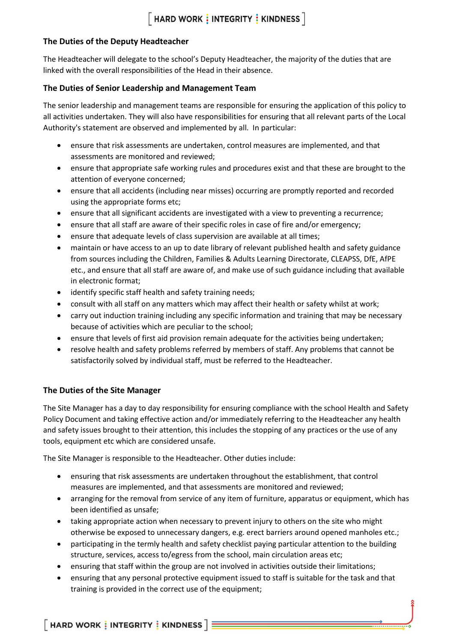### **The Duties of the Deputy Headteacher**

The Headteacher will delegate to the school's Deputy Headteacher, the majority of the duties that are linked with the overall responsibilities of the Head in their absence.

### **The Duties of Senior Leadership and Management Team**

The senior leadership and management teams are responsible for ensuring the application of this policy to all activities undertaken. They will also have responsibilities for ensuring that all relevant parts of the Local Authority's statement are observed and implemented by all. In particular:

- ensure that risk assessments are undertaken, control measures are implemented, and that assessments are monitored and reviewed;
- ensure that appropriate safe working rules and procedures exist and that these are brought to the attention of everyone concerned;
- ensure that all accidents (including near misses) occurring are promptly reported and recorded using the appropriate forms etc;
- ensure that all significant accidents are investigated with a view to preventing a recurrence;
- ensure that all staff are aware of their specific roles in case of fire and/or emergency;
- ensure that adequate levels of class supervision are available at all times;
- maintain or have access to an up to date library of relevant published health and safety guidance from sources including the Children, Families & Adults Learning Directorate, CLEAPSS, DfE, AfPE etc., and ensure that all staff are aware of, and make use of such guidance including that available in electronic format;
- identify specific staff health and safety training needs;
- consult with all staff on any matters which may affect their health or safety whilst at work;
- carry out induction training including any specific information and training that may be necessary because of activities which are peculiar to the school;
- ensure that levels of first aid provision remain adequate for the activities being undertaken;
- resolve health and safety problems referred by members of staff. Any problems that cannot be satisfactorily solved by individual staff, must be referred to the Headteacher.

### **The Duties of the Site Manager**

The Site Manager has a day to day responsibility for ensuring compliance with the school Health and Safety Policy Document and taking effective action and/or immediately referring to the Headteacher any health and safety issues brought to their attention, this includes the stopping of any practices or the use of any tools, equipment etc which are considered unsafe.

The Site Manager is responsible to the Headteacher. Other duties include:

- ensuring that risk assessments are undertaken throughout the establishment, that control measures are implemented, and that assessments are monitored and reviewed;
- arranging for the removal from service of any item of furniture, apparatus or equipment, which has been identified as unsafe;
- taking appropriate action when necessary to prevent injury to others on the site who might otherwise be exposed to unnecessary dangers, e.g. erect barriers around opened manholes etc.;
- participating in the termly health and safety checklist paying particular attention to the building structure, services, access to/egress from the school, main circulation areas etc;
- ensuring that staff within the group are not involved in activities outside their limitations;
- ensuring that any personal protective equipment issued to staff is suitable for the task and that training is provided in the correct use of the equipment;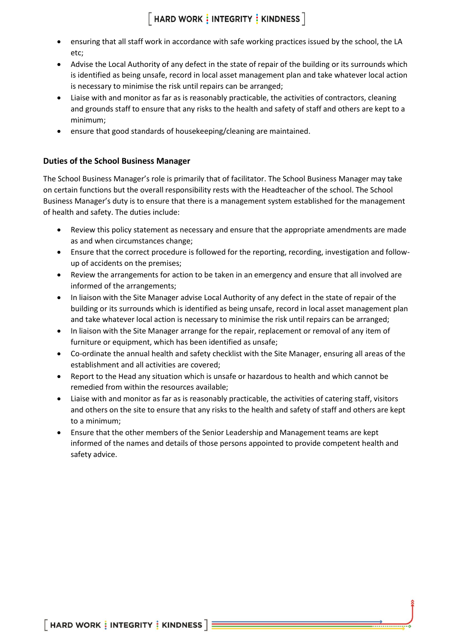- ensuring that all staff work in accordance with safe working practices issued by the school, the LA etc;
- Advise the Local Authority of any defect in the state of repair of the building or its surrounds which is identified as being unsafe, record in local asset management plan and take whatever local action is necessary to minimise the risk until repairs can be arranged;
- Liaise with and monitor as far as is reasonably practicable, the activities of contractors, cleaning and grounds staff to ensure that any risks to the health and safety of staff and others are kept to a minimum;
- ensure that good standards of housekeeping/cleaning are maintained.

### **Duties of the School Business Manager**

The School Business Manager's role is primarily that of facilitator. The School Business Manager may take on certain functions but the overall responsibility rests with the Headteacher of the school. The School Business Manager's duty is to ensure that there is a management system established for the management of health and safety. The duties include:

- Review this policy statement as necessary and ensure that the appropriate amendments are made as and when circumstances change;
- Ensure that the correct procedure is followed for the reporting, recording, investigation and followup of accidents on the premises;
- Review the arrangements for action to be taken in an emergency and ensure that all involved are informed of the arrangements;
- In liaison with the Site Manager advise Local Authority of any defect in the state of repair of the building or its surrounds which is identified as being unsafe, record in local asset management plan and take whatever local action is necessary to minimise the risk until repairs can be arranged;
- In liaison with the Site Manager arrange for the repair, replacement or removal of any item of furniture or equipment, which has been identified as unsafe;
- Co-ordinate the annual health and safety checklist with the Site Manager, ensuring all areas of the establishment and all activities are covered;
- Report to the Head any situation which is unsafe or hazardous to health and which cannot be remedied from within the resources available;
- Liaise with and monitor as far as is reasonably practicable, the activities of catering staff, visitors and others on the site to ensure that any risks to the health and safety of staff and others are kept to a minimum;
- Ensure that the other members of the Senior Leadership and Management teams are kept informed of the names and details of those persons appointed to provide competent health and safety advice.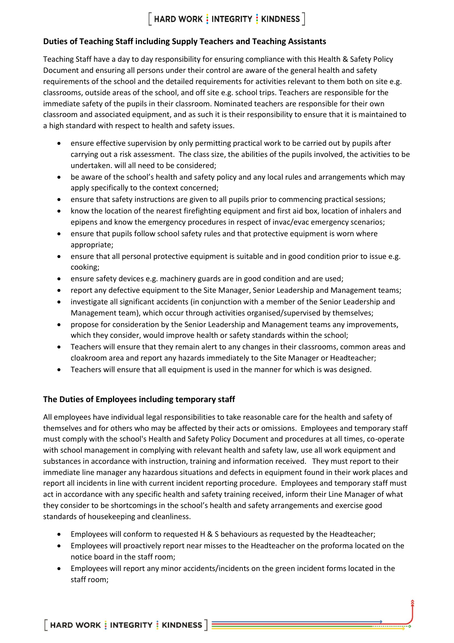### **Duties of Teaching Staff including Supply Teachers and Teaching Assistants**

Teaching Staff have a day to day responsibility for ensuring compliance with this Health & Safety Policy Document and ensuring all persons under their control are aware of the general health and safety requirements of the school and the detailed requirements for activities relevant to them both on site e.g. classrooms, outside areas of the school, and off site e.g. school trips. Teachers are responsible for the immediate safety of the pupils in their classroom. Nominated teachers are responsible for their own classroom and associated equipment, and as such it is their responsibility to ensure that it is maintained to a high standard with respect to health and safety issues.

- ensure effective supervision by only permitting practical work to be carried out by pupils after carrying out a risk assessment. The class size, the abilities of the pupils involved, the activities to be undertaken. will all need to be considered;
- be aware of the school's health and safety policy and any local rules and arrangements which may apply specifically to the context concerned;
- ensure that safety instructions are given to all pupils prior to commencing practical sessions;
- know the location of the nearest firefighting equipment and first aid box, location of inhalers and epipens and know the emergency procedures in respect of invac/evac emergency scenarios;
- ensure that pupils follow school safety rules and that protective equipment is worn where appropriate;
- ensure that all personal protective equipment is suitable and in good condition prior to issue e.g. cooking;
- ensure safety devices e.g. machinery guards are in good condition and are used;
- report any defective equipment to the Site Manager, Senior Leadership and Management teams;
- investigate all significant accidents (in conjunction with a member of the Senior Leadership and Management team), which occur through activities organised/supervised by themselves;
- propose for consideration by the Senior Leadership and Management teams any improvements, which they consider, would improve health or safety standards within the school;
- Teachers will ensure that they remain alert to any changes in their classrooms, common areas and cloakroom area and report any hazards immediately to the Site Manager or Headteacher;
- Teachers will ensure that all equipment is used in the manner for which is was designed.

### **The Duties of Employees including temporary staff**

All employees have individual legal responsibilities to take reasonable care for the health and safety of themselves and for others who may be affected by their acts or omissions. Employees and temporary staff must comply with the school's Health and Safety Policy Document and procedures at all times, co-operate with school management in complying with relevant health and safety law, use all work equipment and substances in accordance with instruction, training and information received. They must report to their immediate line manager any hazardous situations and defects in equipment found in their work places and report all incidents in line with current incident reporting procedure. Employees and temporary staff must act in accordance with any specific health and safety training received, inform their Line Manager of what they consider to be shortcomings in the school's health and safety arrangements and exercise good standards of housekeeping and cleanliness.

- Employees will conform to requested H & S behaviours as requested by the Headteacher;
- Employees will proactively report near misses to the Headteacher on the proforma located on the notice board in the staff room;
- Employees will report any minor accidents/incidents on the green incident forms located in the staff room;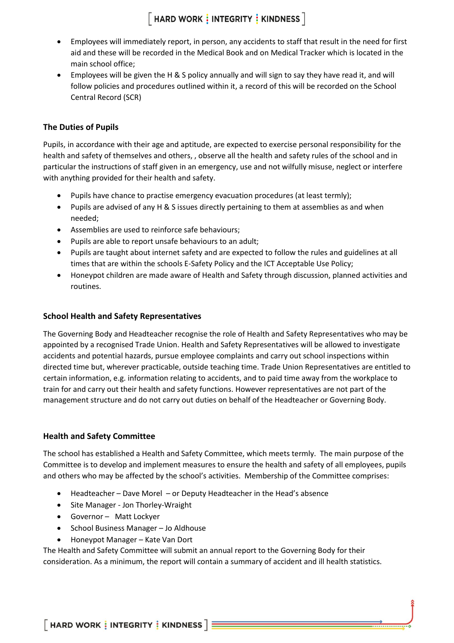- Employees will immediately report, in person, any accidents to staff that result in the need for first aid and these will be recorded in the Medical Book and on Medical Tracker which is located in the main school office;
- Employees will be given the H & S policy annually and will sign to say they have read it, and will follow policies and procedures outlined within it, a record of this will be recorded on the School Central Record (SCR)

### **The Duties of Pupils**

Pupils, in accordance with their age and aptitude, are expected to exercise personal responsibility for the health and safety of themselves and others, , observe all the health and safety rules of the school and in particular the instructions of staff given in an emergency, use and not wilfully misuse, neglect or interfere with anything provided for their health and safety.

- Pupils have chance to practise emergency evacuation procedures (at least termly);
- Pupils are advised of any H & S issues directly pertaining to them at assemblies as and when needed;
- Assemblies are used to reinforce safe behaviours;
- Pupils are able to report unsafe behaviours to an adult;
- Pupils are taught about internet safety and are expected to follow the rules and guidelines at all times that are within the schools E-Safety Policy and the ICT Acceptable Use Policy;
- Honeypot children are made aware of Health and Safety through discussion, planned activities and routines.

#### **School Health and Safety Representatives**

The Governing Body and Headteacher recognise the role of Health and Safety Representatives who may be appointed by a recognised Trade Union. Health and Safety Representatives will be allowed to investigate accidents and potential hazards, pursue employee complaints and carry out school inspections within directed time but, wherever practicable, outside teaching time. Trade Union Representatives are entitled to certain information, e.g. information relating to accidents, and to paid time away from the workplace to train for and carry out their health and safety functions. However representatives are not part of the management structure and do not carry out duties on behalf of the Headteacher or Governing Body.

#### **Health and Safety Committee**

The school has established a Health and Safety Committee, which meets termly. The main purpose of the Committee is to develop and implement measures to ensure the health and safety of all employees, pupils and others who may be affected by the school's activities. Membership of the Committee comprises:

- Headteacher Dave Morel or Deputy Headteacher in the Head's absence
- Site Manager Jon Thorley-Wraight
- Governor Matt Lockyer
- School Business Manager Jo Aldhouse
- Honeypot Manager Kate Van Dort

The Health and Safety Committee will submit an annual report to the Governing Body for their consideration. As a minimum, the report will contain a summary of accident and ill health statistics.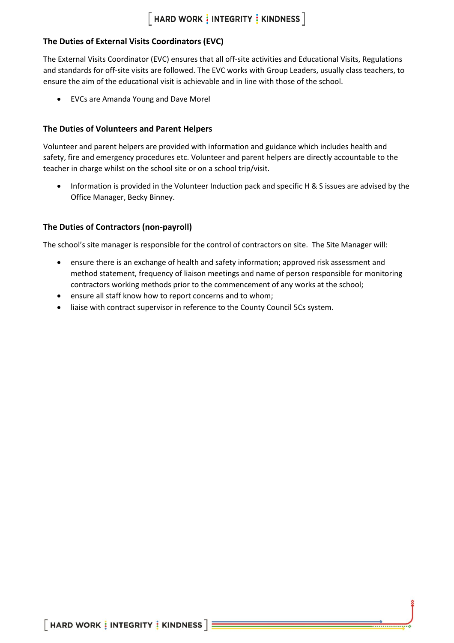### **The Duties of External Visits Coordinators (EVC)**

The External Visits Coordinator (EVC) ensures that all off-site activities and Educational Visits, Regulations and standards for off-site visits are followed. The EVC works with Group Leaders, usually class teachers, to ensure the aim of the educational visit is achievable and in line with those of the school.

• EVCs are Amanda Young and Dave Morel

### **The Duties of Volunteers and Parent Helpers**

Volunteer and parent helpers are provided with information and guidance which includes health and safety, fire and emergency procedures etc. Volunteer and parent helpers are directly accountable to the teacher in charge whilst on the school site or on a school trip/visit.

• Information is provided in the Volunteer Induction pack and specific H & S issues are advised by the Office Manager, Becky Binney.

### **The Duties of Contractors (non-payroll)**

The school's site manager is responsible for the control of contractors on site. The Site Manager will:

- ensure there is an exchange of health and safety information; approved risk assessment and method statement, frequency of liaison meetings and name of person responsible for monitoring contractors working methods prior to the commencement of any works at the school;
- ensure all staff know how to report concerns and to whom;
- liaise with contract supervisor in reference to the County Council 5Cs system.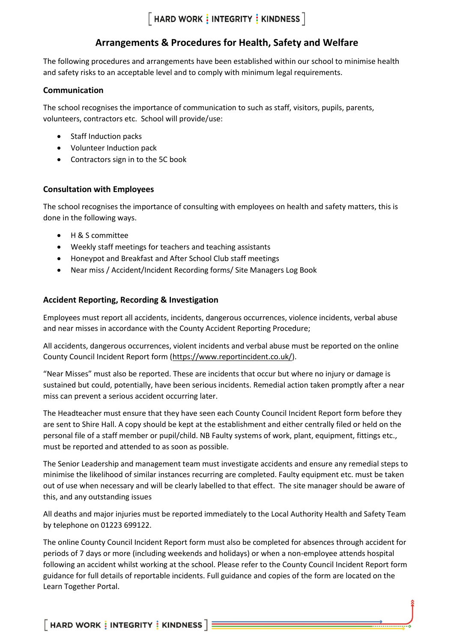### **Arrangements & Procedures for Health, Safety and Welfare**

The following procedures and arrangements have been established within our school to minimise health and safety risks to an acceptable level and to comply with minimum legal requirements.

### **Communication**

The school recognises the importance of communication to such as staff, visitors, pupils, parents, volunteers, contractors etc. School will provide/use:

- Staff Induction packs
- Volunteer Induction pack
- Contractors sign in to the 5C book

### **Consultation with Employees**

The school recognises the importance of consulting with employees on health and safety matters, this is done in the following ways.

- H & S committee
- Weekly staff meetings for teachers and teaching assistants
- Honeypot and Breakfast and After School Club staff meetings
- Near miss / Accident/Incident Recording forms/ Site Managers Log Book

### **Accident Reporting, Recording & Investigation**

Employees must report all accidents, incidents, dangerous occurrences, violence incidents, verbal abuse and near misses in accordance with the County Accident Reporting Procedure;

All accidents, dangerous occurrences, violent incidents and verbal abuse must be reported on the online County Council Incident Report form [\(https://www.reportincident.co.uk/\)](https://www.reportincident.co.uk/).

"Near Misses" must also be reported. These are incidents that occur but where no injury or damage is sustained but could, potentially, have been serious incidents. Remedial action taken promptly after a near miss can prevent a serious accident occurring later.

The Headteacher must ensure that they have seen each County Council Incident Report form before they are sent to Shire Hall. A copy should be kept at the establishment and either centrally filed or held on the personal file of a staff member or pupil/child. NB Faulty systems of work, plant, equipment, fittings etc., must be reported and attended to as soon as possible.

The Senior Leadership and management team must investigate accidents and ensure any remedial steps to minimise the likelihood of similar instances recurring are completed. Faulty equipment etc. must be taken out of use when necessary and will be clearly labelled to that effect. The site manager should be aware of this, and any outstanding issues

All deaths and major injuries must be reported immediately to the Local Authority Health and Safety Team by telephone on 01223 699122.

The online County Council Incident Report form must also be completed for absences through accident for periods of 7 days or more (including weekends and holidays) or when a non-employee attends hospital following an accident whilst working at the school. Please refer to the County Council Incident Report form guidance for full details of reportable incidents. Full guidance and copies of the form are located on the Learn Together Portal.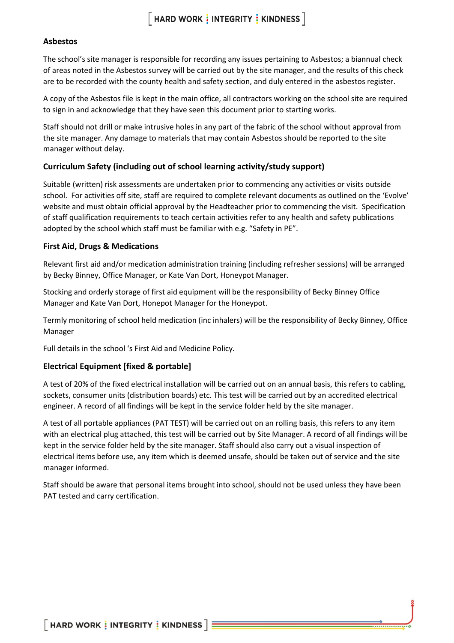#### **Asbestos**

The school's site manager is responsible for recording any issues pertaining to Asbestos; a biannual check of areas noted in the Asbestos survey will be carried out by the site manager, and the results of this check are to be recorded with the county health and safety section, and duly entered in the asbestos register.

A copy of the Asbestos file is kept in the main office, all contractors working on the school site are required to sign in and acknowledge that they have seen this document prior to starting works.

Staff should not drill or make intrusive holes in any part of the fabric of the school without approval from the site manager. Any damage to materials that may contain Asbestos should be reported to the site manager without delay.

### **Curriculum Safety (including out of school learning activity/study support)**

Suitable (written) risk assessments are undertaken prior to commencing any activities or visits outside school. For activities off site, staff are required to complete relevant documents as outlined on the 'Evolve' website and must obtain official approval by the Headteacher prior to commencing the visit. Specification of staff qualification requirements to teach certain activities refer to any health and safety publications adopted by the school which staff must be familiar with e.g. "Safety in PE".

#### **First Aid, Drugs & Medications**

Relevant first aid and/or medication administration training (including refresher sessions) will be arranged by Becky Binney, Office Manager, or Kate Van Dort, Honeypot Manager.

Stocking and orderly storage of first aid equipment will be the responsibility of Becky Binney Office Manager and Kate Van Dort, Honepot Manager for the Honeypot.

Termly monitoring of school held medication (inc inhalers) will be the responsibility of Becky Binney, Office Manager

Full details in the school 's First Aid and Medicine Policy.

#### **Electrical Equipment [fixed & portable]**

A test of 20% of the fixed electrical installation will be carried out on an annual basis, this refers to cabling, sockets, consumer units (distribution boards) etc. This test will be carried out by an accredited electrical engineer. A record of all findings will be kept in the service folder held by the site manager.

A test of all portable appliances (PAT TEST) will be carried out on an rolling basis, this refers to any item with an electrical plug attached, this test will be carried out by Site Manager. A record of all findings will be kept in the service folder held by the site manager. Staff should also carry out a visual inspection of electrical items before use, any item which is deemed unsafe, should be taken out of service and the site manager informed.

Staff should be aware that personal items brought into school, should not be used unless they have been PAT tested and carry certification.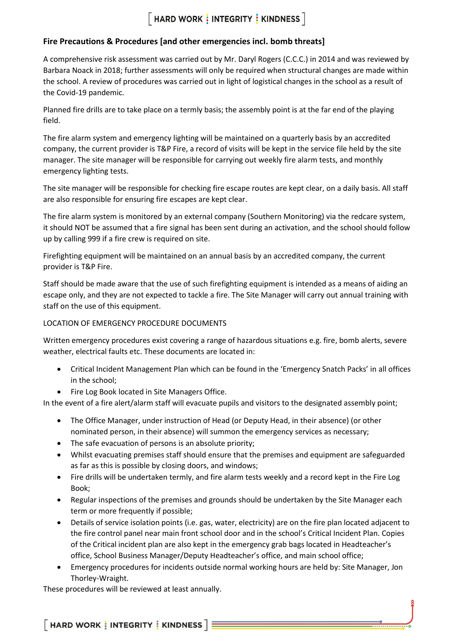### **Fire Precautions & Procedures [and other emergencies incl. bomb threats]**

A comprehensive risk assessment was carried out by Mr. Daryl Rogers (C.C.C.) in 2014 and was reviewed by Barbara Noack in 2018; further assessments will only be required when structural changes are made within the school. A review of procedures was carried out in light of logistical changes in the school as a result of the Covid-19 pandemic.

Planned fire drills are to take place on a termly basis; the assembly point is at the far end of the playing field.

The fire alarm system and emergency lighting will be maintained on a quarterly basis by an accredited company, the current provider is T&P Fire, a record of visits will be kept in the service file held by the site manager. The site manager will be responsible for carrying out weekly fire alarm tests, and monthly emergency lighting tests.

The site manager will be responsible for checking fire escape routes are kept clear, on a daily basis. All staff are also responsible for ensuring fire escapes are kept clear.

The fire alarm system is monitored by an external company (Southern Monitoring) via the redcare system, it should NOT be assumed that a fire signal has been sent during an activation, and the school should follow up by calling 999 if a fire crew is required on site.

Firefighting equipment will be maintained on an annual basis by an accredited company, the current provider is T&P Fire.

Staff should be made aware that the use of such firefighting equipment is intended as a means of aiding an escape only, and they are not expected to tackle a fire. The Site Manager will carry out annual training with staff on the use of this equipment.

### LOCATION OF EMERGENCY PROCEDURE DOCUMENTS

Written emergency procedures exist covering a range of hazardous situations e.g. fire, bomb alerts, severe weather, electrical faults etc. These documents are located in:

- Critical Incident Management Plan which can be found in the 'Emergency Snatch Packs' in all offices in the school;
- Fire Log Book located in Site Managers Office.

In the event of a fire alert/alarm staff will evacuate pupils and visitors to the designated assembly point;

- The Office Manager, under instruction of Head (or Deputy Head, in their absence) (or other nominated person, in their absence) will summon the emergency services as necessary;
- The safe evacuation of persons is an absolute priority;
- Whilst evacuating premises staff should ensure that the premises and equipment are safeguarded as far as this is possible by closing doors, and windows;
- Fire drills will be undertaken termly, and fire alarm tests weekly and a record kept in the Fire Log Book;
- Regular inspections of the premises and grounds should be undertaken by the Site Manager each term or more frequently if possible;
- Details of service isolation points (i.e. gas, water, electricity) are on the fire plan located adjacent to the fire control panel near main front school door and in the school's Critical Incident Plan. Copies of the Critical incident plan are also kept in the emergency grab bags located in Headteacher's office, School Business Manager/Deputy Headteacher's office, and main school office;
- Emergency procedures for incidents outside normal working hours are held by: Site Manager, Jon Thorley-Wraight.

These procedures will be reviewed at least annually.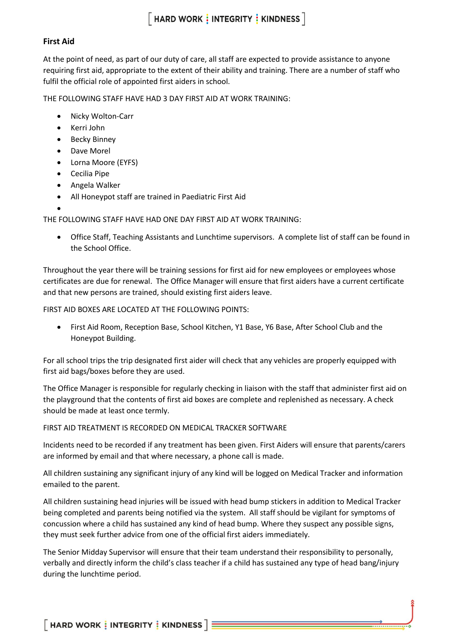#### **First Aid**

At the point of need, as part of our duty of care, all staff are expected to provide assistance to anyone requiring first aid, appropriate to the extent of their ability and training. There are a number of staff who fulfil the official role of appointed first aiders in school.

THE FOLLOWING STAFF HAVE HAD 3 DAY FIRST AID AT WORK TRAINING:

- Nicky Wolton-Carr
- Kerri John
- Becky Binney
- Dave Morel
- Lorna Moore (EYFS)
- Cecilia Pipe
- Angela Walker
- All Honeypot staff are trained in Paediatric First Aid
- •

THE FOLLOWING STAFF HAVE HAD ONE DAY FIRST AID AT WORK TRAINING:

• Office Staff, Teaching Assistants and Lunchtime supervisors. A complete list of staff can be found in the School Office.

Throughout the year there will be training sessions for first aid for new employees or employees whose certificates are due for renewal. The Office Manager will ensure that first aiders have a current certificate and that new persons are trained, should existing first aiders leave.

FIRST AID BOXES ARE LOCATED AT THE FOLLOWING POINTS:

• First Aid Room, Reception Base, School Kitchen, Y1 Base, Y6 Base, After School Club and the Honeypot Building.

For all school trips the trip designated first aider will check that any vehicles are properly equipped with first aid bags/boxes before they are used.

The Office Manager is responsible for regularly checking in liaison with the staff that administer first aid on the playground that the contents of first aid boxes are complete and replenished as necessary. A check should be made at least once termly.

FIRST AID TREATMENT IS RECORDED ON MEDICAL TRACKER SOFTWARE

Incidents need to be recorded if any treatment has been given. First Aiders will ensure that parents/carers are informed by email and that where necessary, a phone call is made.

All children sustaining any significant injury of any kind will be logged on Medical Tracker and information emailed to the parent.

All children sustaining head injuries will be issued with head bump stickers in addition to Medical Tracker being completed and parents being notified via the system. All staff should be vigilant for symptoms of concussion where a child has sustained any kind of head bump. Where they suspect any possible signs, they must seek further advice from one of the official first aiders immediately.

The Senior Midday Supervisor will ensure that their team understand their responsibility to personally, verbally and directly inform the child's class teacher if a child has sustained any type of head bang/injury during the lunchtime period.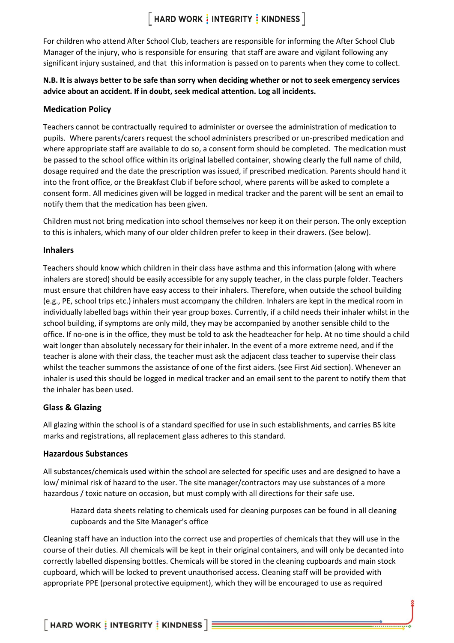For children who attend After School Club, teachers are responsible for informing the After School Club Manager of the injury, who is responsible for ensuring that staff are aware and vigilant following any significant injury sustained, and that this information is passed on to parents when they come to collect.

### **N.B. It is always better to be safe than sorry when deciding whether or not to seek emergency services advice about an accident. If in doubt, seek medical attention. Log all incidents.**

### **Medication Policy**

Teachers cannot be contractually required to administer or oversee the administration of medication to pupils. Where parents/carers request the school administers prescribed or un-prescribed medication and where appropriate staff are available to do so, a consent form should be completed. The medication must be passed to the school office within its original labelled container, showing clearly the full name of child, dosage required and the date the prescription was issued, if prescribed medication. Parents should hand it into the front office, or the Breakfast Club if before school, where parents will be asked to complete a consent form. All medicines given will be logged in medical tracker and the parent will be sent an email to notify them that the medication has been given.

Children must not bring medication into school themselves nor keep it on their person. The only exception to this is inhalers, which many of our older children prefer to keep in their drawers. (See below).

### **Inhalers**

Teachers should know which children in their class have asthma and this information (along with where inhalers are stored) should be easily accessible for any supply teacher, in the class purple folder. Teachers must ensure that children have easy access to their inhalers. Therefore, when outside the school building (e.g., PE, school trips etc.) inhalers must accompany the children. Inhalers are kept in the medical room in individually labelled bags within their year group boxes. Currently, if a child needs their inhaler whilst in the school building, if symptoms are only mild, they may be accompanied by another sensible child to the office. If no-one is in the office, they must be told to ask the headteacher for help. At no time should a child wait longer than absolutely necessary for their inhaler. In the event of a more extreme need, and if the teacher is alone with their class, the teacher must ask the adjacent class teacher to supervise their class whilst the teacher summons the assistance of one of the first aiders. (see First Aid section). Whenever an inhaler is used this should be logged in medical tracker and an email sent to the parent to notify them that the inhaler has been used.

### **Glass & Glazing**

All glazing within the school is of a standard specified for use in such establishments, and carries BS kite marks and registrations, all replacement glass adheres to this standard.

### **Hazardous Substances**

All substances/chemicals used within the school are selected for specific uses and are designed to have a low/ minimal risk of hazard to the user. The site manager/contractors may use substances of a more hazardous / toxic nature on occasion, but must comply with all directions for their safe use.

Hazard data sheets relating to chemicals used for cleaning purposes can be found in all cleaning cupboards and the Site Manager's office

Cleaning staff have an induction into the correct use and properties of chemicals that they will use in the course of their duties. All chemicals will be kept in their original containers, and will only be decanted into correctly labelled dispensing bottles. Chemicals will be stored in the cleaning cupboards and main stock cupboard, which will be locked to prevent unauthorised access. Cleaning staff will be provided with appropriate PPE (personal protective equipment), which they will be encouraged to use as required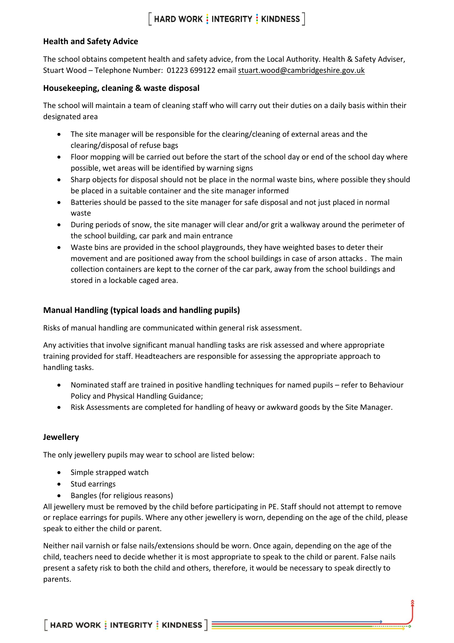### **Health and Safety Advice**

The school obtains competent health and safety advice, from the Local Authority. Health & Safety Adviser, Stuart Wood - Telephone Number: 01223 699122 email [stuart.wood@cambridgeshire.gov.uk](mailto:stuart.wood@cambridgeshire.gov.uk)

#### **Housekeeping, cleaning & waste disposal**

The school will maintain a team of cleaning staff who will carry out their duties on a daily basis within their designated area

- The site manager will be responsible for the clearing/cleaning of external areas and the clearing/disposal of refuse bags
- Floor mopping will be carried out before the start of the school day or end of the school day where possible, wet areas will be identified by warning signs
- Sharp objects for disposal should not be place in the normal waste bins, where possible they should be placed in a suitable container and the site manager informed
- Batteries should be passed to the site manager for safe disposal and not just placed in normal waste
- During periods of snow, the site manager will clear and/or grit a walkway around the perimeter of the school building, car park and main entrance
- Waste bins are provided in the school playgrounds, they have weighted bases to deter their movement and are positioned away from the school buildings in case of arson attacks . The main collection containers are kept to the corner of the car park, away from the school buildings and stored in a lockable caged area.

### **Manual Handling (typical loads and handling pupils)**

Risks of manual handling are communicated within general risk assessment.

Any activities that involve significant manual handling tasks are risk assessed and where appropriate training provided for staff. Headteachers are responsible for assessing the appropriate approach to handling tasks.

- Nominated staff are trained in positive handling techniques for named pupils refer to Behaviour Policy and Physical Handling Guidance;
- Risk Assessments are completed for handling of heavy or awkward goods by the Site Manager.

### **Jewellery**

The only jewellery pupils may wear to school are listed below:

- Simple strapped watch
- Stud earrings
- Bangles (for religious reasons)

All jewellery must be removed by the child before participating in PE. Staff should not attempt to remove or replace earrings for pupils. Where any other jewellery is worn, depending on the age of the child, please speak to either the child or parent.

Neither nail varnish or false nails/extensions should be worn. Once again, depending on the age of the child, teachers need to decide whether it is most appropriate to speak to the child or parent. False nails present a safety risk to both the child and others, therefore, it would be necessary to speak directly to parents.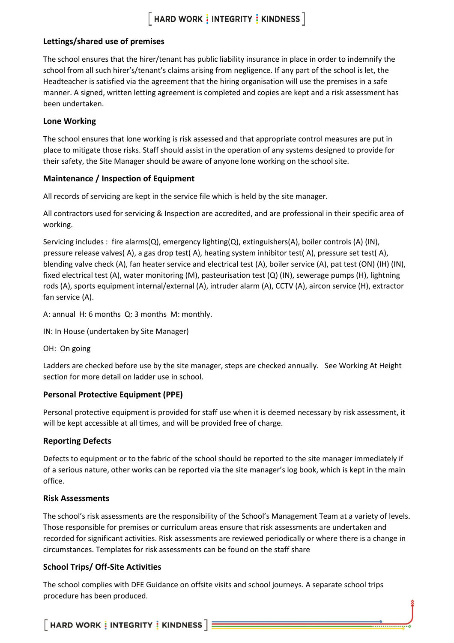### **Lettings/shared use of premises**

The school ensures that the hirer/tenant has public liability insurance in place in order to indemnify the school from all such hirer's/tenant's claims arising from negligence. If any part of the school is let, the Headteacher is satisfied via the agreement that the hiring organisation will use the premises in a safe manner. A signed, written letting agreement is completed and copies are kept and a risk assessment has been undertaken.

#### **Lone Working**

The school ensures that lone working is risk assessed and that appropriate control measures are put in place to mitigate those risks. Staff should assist in the operation of any systems designed to provide for their safety, the Site Manager should be aware of anyone lone working on the school site.

### **Maintenance / Inspection of Equipment**

All records of servicing are kept in the service file which is held by the site manager.

All contractors used for servicing & Inspection are accredited, and are professional in their specific area of working.

Servicing includes : fire alarms(Q), emergency lighting(Q), extinguishers(A), boiler controls (A) (IN), pressure release valves( A), a gas drop test( A), heating system inhibitor test( A), pressure set test( A), blending valve check (A), fan heater service and electrical test (A), boiler service (A), pat test (ON) (IH) (IN), fixed electrical test (A), water monitoring (M), pasteurisation test (Q) (IN), sewerage pumps (H), lightning rods (A), sports equipment internal/external (A), intruder alarm (A), CCTV (A), aircon service (H), extractor fan service (A).

A: annual H: 6 months Q: 3 months M: monthly.

IN: In House (undertaken by Site Manager)

OH: On going

Ladders are checked before use by the site manager, steps are checked annually. See Working At Height section for more detail on ladder use in school.

### **Personal Protective Equipment (PPE)**

Personal protective equipment is provided for staff use when it is deemed necessary by risk assessment, it will be kept accessible at all times, and will be provided free of charge.

### **Reporting Defects**

Defects to equipment or to the fabric of the school should be reported to the site manager immediately if of a serious nature, other works can be reported via the site manager's log book, which is kept in the main office.

### **Risk Assessments**

The school's risk assessments are the responsibility of the School's Management Team at a variety of levels. Those responsible for premises or curriculum areas ensure that risk assessments are undertaken and recorded for significant activities. Risk assessments are reviewed periodically or where there is a change in circumstances. Templates for risk assessments can be found on the staff share

### **School Trips/ Off-Site Activities**

The school complies with DFE Guidance on offsite visits and school journeys. A separate school trips procedure has been produced.

 $\lceil$  HARD WORK  $\frac{1}{3}$  INTEGRITY  $\frac{1}{3}$  KINDNESS  $\rceil$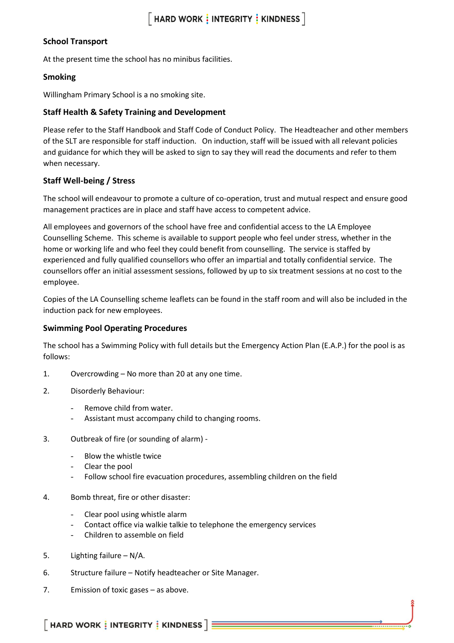### **School Transport**

At the present time the school has no minibus facilities.

### **Smoking**

Willingham Primary School is a no smoking site.

### **Staff Health & Safety Training and Development**

Please refer to the Staff Handbook and Staff Code of Conduct Policy. The Headteacher and other members of the SLT are responsible for staff induction. On induction, staff will be issued with all relevant policies and guidance for which they will be asked to sign to say they will read the documents and refer to them when necessary.

### **Staff Well-being / Stress**

The school will endeavour to promote a culture of co-operation, trust and mutual respect and ensure good management practices are in place and staff have access to competent advice.

All employees and governors of the school have free and confidential access to the LA Employee Counselling Scheme. This scheme is available to support people who feel under stress, whether in the home or working life and who feel they could benefit from counselling. The service is staffed by experienced and fully qualified counsellors who offer an impartial and totally confidential service. The counsellors offer an initial assessment sessions, followed by up to six treatment sessions at no cost to the employee.

Copies of the LA Counselling scheme leaflets can be found in the staff room and will also be included in the induction pack for new employees.

### **Swimming Pool Operating Procedures**

The school has a Swimming Policy with full details but the Emergency Action Plan (E.A.P.) for the pool is as follows:

- 1. Overcrowding No more than 20 at any one time.
- 2. Disorderly Behaviour:
	- Remove child from water.
	- Assistant must accompany child to changing rooms.
- 3. Outbreak of fire (or sounding of alarm)
	- Blow the whistle twice
	- Clear the pool
	- Follow school fire evacuation procedures, assembling children on the field
- 4. Bomb threat, fire or other disaster:
	- Clear pool using whistle alarm
	- Contact office via walkie talkie to telephone the emergency services
	- Children to assemble on field
- 5. Lighting failure N/A.
- 6. Structure failure Notify headteacher or Site Manager.
- 7. Emission of toxic gases as above.

 $\lceil$  HARD WORK  $\frac{1}{3}$  INTEGRITY  $\frac{1}{3}$  KINDNESS  $\rceil$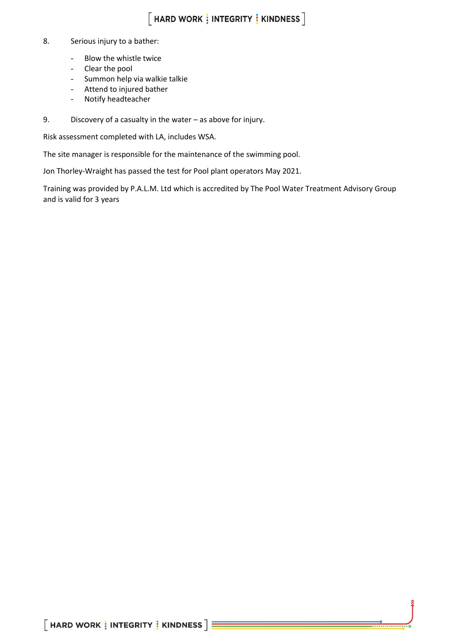#### 8. Serious injury to a bather:

- Blow the whistle twice
- Clear the pool
- Summon help via walkie talkie
- Attend to injured bather
- Notify headteacher
- 9. Discovery of a casualty in the water as above for injury.

Risk assessment completed with LA, includes WSA.

The site manager is responsible for the maintenance of the swimming pool.

Jon Thorley-Wraight has passed the test for Pool plant operators May 2021.

Training was provided by P.A.L.M. Ltd which is accredited by The Pool Water Treatment Advisory Group and is valid for 3 years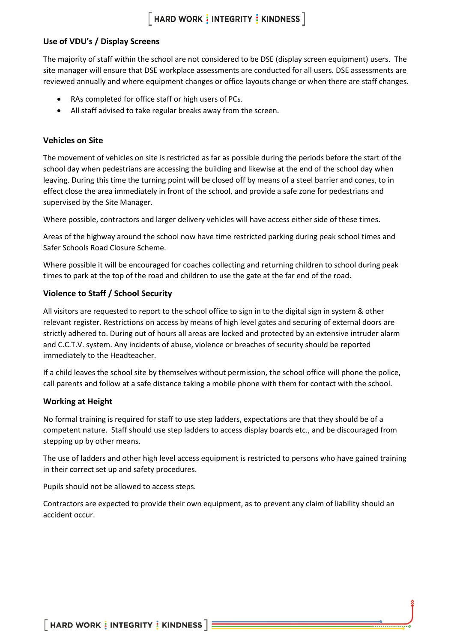### **Use of VDU's / Display Screens**

The majority of staff within the school are not considered to be DSE (display screen equipment) users. The site manager will ensure that DSE workplace assessments are conducted for all users. DSE assessments are reviewed annually and where equipment changes or office layouts change or when there are staff changes.

- RAs completed for office staff or high users of PCs.
- All staff advised to take regular breaks away from the screen.

#### **Vehicles on Site**

The movement of vehicles on site is restricted as far as possible during the periods before the start of the school day when pedestrians are accessing the building and likewise at the end of the school day when leaving. During this time the turning point will be closed off by means of a steel barrier and cones, to in effect close the area immediately in front of the school, and provide a safe zone for pedestrians and supervised by the Site Manager.

Where possible, contractors and larger delivery vehicles will have access either side of these times.

Areas of the highway around the school now have time restricted parking during peak school times and Safer Schools Road Closure Scheme.

Where possible it will be encouraged for coaches collecting and returning children to school during peak times to park at the top of the road and children to use the gate at the far end of the road.

#### **Violence to Staff / School Security**

All visitors are requested to report to the school office to sign in to the digital sign in system & other relevant register. Restrictions on access by means of high level gates and securing of external doors are strictly adhered to. During out of hours all areas are locked and protected by an extensive intruder alarm and C.C.T.V. system. Any incidents of abuse, violence or breaches of security should be reported immediately to the Headteacher.

If a child leaves the school site by themselves without permission, the school office will phone the police, call parents and follow at a safe distance taking a mobile phone with them for contact with the school.

#### **Working at Height**

No formal training is required for staff to use step ladders, expectations are that they should be of a competent nature. Staff should use step ladders to access display boards etc., and be discouraged from stepping up by other means.

The use of ladders and other high level access equipment is restricted to persons who have gained training in their correct set up and safety procedures.

Pupils should not be allowed to access steps.

Contractors are expected to provide their own equipment, as to prevent any claim of liability should an accident occur.